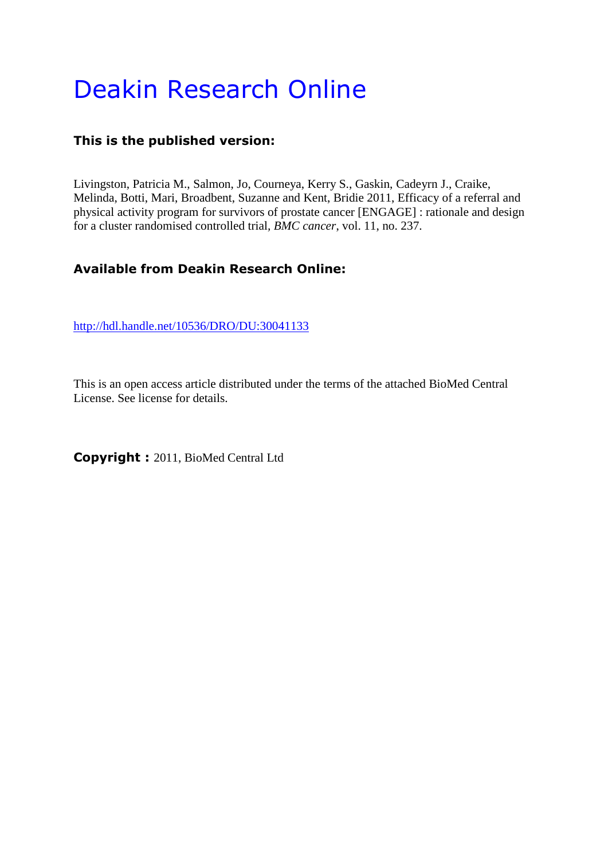# Deakin Research Online

# **This is the published version:**

Livingston, Patricia M., Salmon, Jo, Courneya, Kerry S., Gaskin, Cadeyrn J., Craike, Melinda, Botti, Mari, Broadbent, Suzanne and Kent, Bridie 2011, Efficacy of a referral and physical activity program for survivors of prostate cancer [ENGAGE] : rationale and design for a cluster randomised controlled trial*, BMC cancer*, vol. 11, no. 237.

# **Available from Deakin Research Online:**

<http://hdl.handle.net/10536/DRO/DU:30041133>

This is an open access article distributed under the terms of the attached BioMed Central License. See license for details.

**Copyright :** 2011, BioMed Central Ltd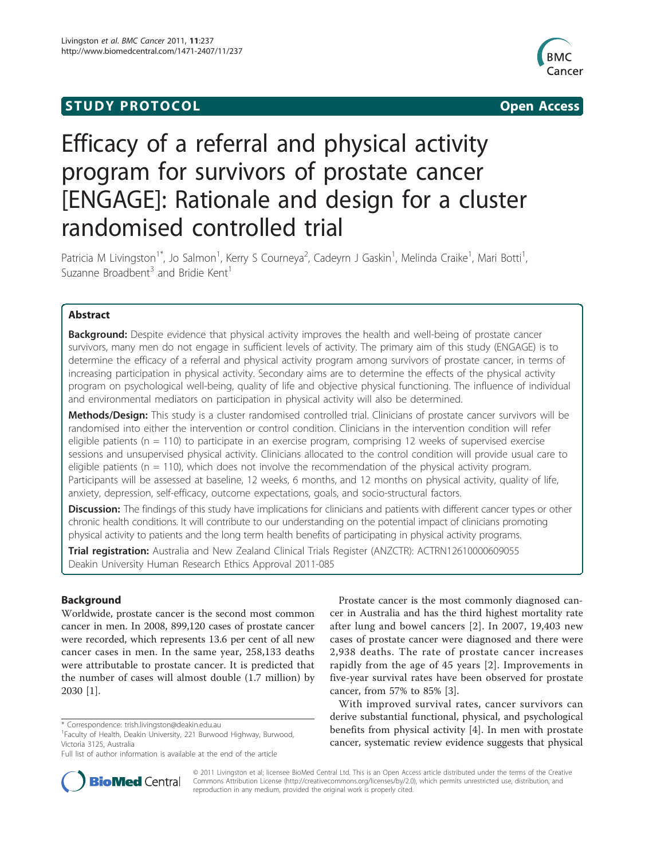# **STUDY PROTOCOL CONSUMING ACCESS**



# Efficacy of a referral and physical activity program for survivors of prostate cancer [ENGAGE]: Rationale and design for a cluster randomised controlled trial

Patricia M Livingston<sup>1\*</sup>, Jo Salmon<sup>1</sup>, Kerry S Courneya<sup>2</sup>, Cadeyrn J Gaskin<sup>1</sup>, Melinda Craike<sup>1</sup>, Mari Botti<sup>1</sup> , Suzanne Broadbent<sup>3</sup> and Bridie Kent<sup>1</sup>

# Abstract

**Background:** Despite evidence that physical activity improves the health and well-being of prostate cancer survivors, many men do not engage in sufficient levels of activity. The primary aim of this study (ENGAGE) is to determine the efficacy of a referral and physical activity program among survivors of prostate cancer, in terms of increasing participation in physical activity. Secondary aims are to determine the effects of the physical activity program on psychological well-being, quality of life and objective physical functioning. The influence of individual and environmental mediators on participation in physical activity will also be determined.

Methods/Design: This study is a cluster randomised controlled trial. Clinicians of prostate cancer survivors will be randomised into either the intervention or control condition. Clinicians in the intervention condition will refer eligible patients ( $n = 110$ ) to participate in an exercise program, comprising 12 weeks of supervised exercise sessions and unsupervised physical activity. Clinicians allocated to the control condition will provide usual care to eligible patients ( $n = 110$ ), which does not involve the recommendation of the physical activity program. Participants will be assessed at baseline, 12 weeks, 6 months, and 12 months on physical activity, quality of life, anxiety, depression, self-efficacy, outcome expectations, goals, and socio-structural factors.

**Discussion:** The findings of this study have implications for clinicians and patients with different cancer types or other chronic health conditions. It will contribute to our understanding on the potential impact of clinicians promoting physical activity to patients and the long term health benefits of participating in physical activity programs.

Trial registration: Australia and New Zealand Clinical Trials Register (ANZCTR): [ACTRN12610000609055](http://www.anzctr.org.au/ACTRN12610000609055.aspx) Deakin University Human Research Ethics Approval 2011-085

# Background

Worldwide, prostate cancer is the second most common cancer in men. In 2008, 899,120 cases of prostate cancer were recorded, which represents 13.6 per cent of all new cancer cases in men. In the same year, 258,133 deaths were attributable to prostate cancer. It is predicted that the number of cases will almost double (1.7 million) by 2030 [[1](#page-10-0)].



With improved survival rates, cancer survivors can derive substantial functional, physical, and psychological benefits from physical activity [\[4](#page-10-0)]. In men with prostate cancer, systematic review evidence suggests that physical



© 2011 Livingston et al; licensee BioMed Central Ltd. This is an Open Access article distributed under the terms of the Creative Commons Attribution License [\(http://creativecommons.org/licenses/by/2.0](http://creativecommons.org/licenses/by/2.0)), which permits unrestricted use, distribution, and reproduction in any medium, provided the original work is properly cited.

<sup>\*</sup> Correspondence: [trish.livingston@deakin.edu.au](mailto:trish.livingston@deakin.edu.au)

<sup>&</sup>lt;sup>1</sup> Faculty of Health, Deakin University, 221 Burwood Highway, Burwood, Victoria 3125, Australia

Full list of author information is available at the end of the article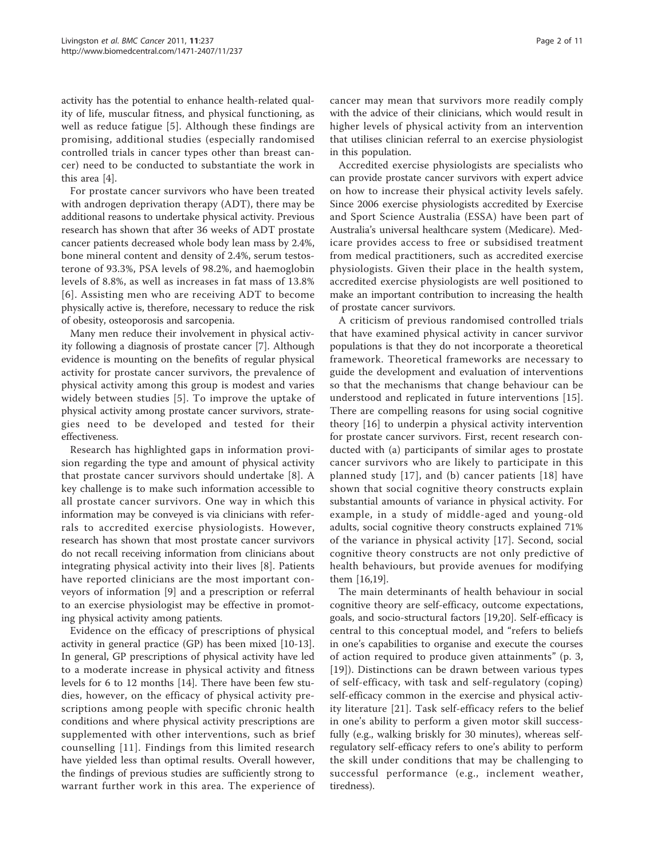activity has the potential to enhance health-related quality of life, muscular fitness, and physical functioning, as well as reduce fatigue [[5](#page-10-0)]. Although these findings are promising, additional studies (especially randomised controlled trials in cancer types other than breast cancer) need to be conducted to substantiate the work in this area [[4\]](#page-10-0).

For prostate cancer survivors who have been treated with androgen deprivation therapy (ADT), there may be additional reasons to undertake physical activity. Previous research has shown that after 36 weeks of ADT prostate cancer patients decreased whole body lean mass by 2.4%, bone mineral content and density of 2.4%, serum testosterone of 93.3%, PSA levels of 98.2%, and haemoglobin levels of 8.8%, as well as increases in fat mass of 13.8% [[6](#page-10-0)]. Assisting men who are receiving ADT to become physically active is, therefore, necessary to reduce the risk of obesity, osteoporosis and sarcopenia.

Many men reduce their involvement in physical activity following a diagnosis of prostate cancer [[7\]](#page-10-0). Although evidence is mounting on the benefits of regular physical activity for prostate cancer survivors, the prevalence of physical activity among this group is modest and varies widely between studies [[5\]](#page-10-0). To improve the uptake of physical activity among prostate cancer survivors, strategies need to be developed and tested for their effectiveness.

Research has highlighted gaps in information provision regarding the type and amount of physical activity that prostate cancer survivors should undertake [\[8](#page-10-0)]. A key challenge is to make such information accessible to all prostate cancer survivors. One way in which this information may be conveyed is via clinicians with referrals to accredited exercise physiologists. However, research has shown that most prostate cancer survivors do not recall receiving information from clinicians about integrating physical activity into their lives [[8\]](#page-10-0). Patients have reported clinicians are the most important conveyors of information [[9\]](#page-10-0) and a prescription or referral to an exercise physiologist may be effective in promoting physical activity among patients.

Evidence on the efficacy of prescriptions of physical activity in general practice (GP) has been mixed [\[10-13](#page-10-0)]. In general, GP prescriptions of physical activity have led to a moderate increase in physical activity and fitness levels for 6 to 12 months [\[14\]](#page-10-0). There have been few studies, however, on the efficacy of physical activity prescriptions among people with specific chronic health conditions and where physical activity prescriptions are supplemented with other interventions, such as brief counselling [[11](#page-10-0)]. Findings from this limited research have yielded less than optimal results. Overall however, the findings of previous studies are sufficiently strong to warrant further work in this area. The experience of cancer may mean that survivors more readily comply with the advice of their clinicians, which would result in higher levels of physical activity from an intervention that utilises clinician referral to an exercise physiologist in this population.

Accredited exercise physiologists are specialists who can provide prostate cancer survivors with expert advice on how to increase their physical activity levels safely. Since 2006 exercise physiologists accredited by Exercise and Sport Science Australia (ESSA) have been part of Australia's universal healthcare system (Medicare). Medicare provides access to free or subsidised treatment from medical practitioners, such as accredited exercise physiologists. Given their place in the health system, accredited exercise physiologists are well positioned to make an important contribution to increasing the health of prostate cancer survivors.

A criticism of previous randomised controlled trials that have examined physical activity in cancer survivor populations is that they do not incorporate a theoretical framework. Theoretical frameworks are necessary to guide the development and evaluation of interventions so that the mechanisms that change behaviour can be understood and replicated in future interventions [[15](#page-10-0)]. There are compelling reasons for using social cognitive theory [\[16](#page-10-0)] to underpin a physical activity intervention for prostate cancer survivors. First, recent research conducted with (a) participants of similar ages to prostate cancer survivors who are likely to participate in this planned study [[17\]](#page-10-0), and (b) cancer patients [[18](#page-10-0)] have shown that social cognitive theory constructs explain substantial amounts of variance in physical activity. For example, in a study of middle-aged and young-old adults, social cognitive theory constructs explained 71% of the variance in physical activity [[17](#page-10-0)]. Second, social cognitive theory constructs are not only predictive of health behaviours, but provide avenues for modifying them [\[16,19\]](#page-10-0).

The main determinants of health behaviour in social cognitive theory are self-efficacy, outcome expectations, goals, and socio-structural factors [\[19,20\]](#page-10-0). Self-efficacy is central to this conceptual model, and "refers to beliefs in one's capabilities to organise and execute the courses of action required to produce given attainments" (p. 3, [[19](#page-10-0)]). Distinctions can be drawn between various types of self-efficacy, with task and self-regulatory (coping) self-efficacy common in the exercise and physical activity literature [\[21](#page-10-0)]. Task self-efficacy refers to the belief in one's ability to perform a given motor skill successfully (e.g., walking briskly for 30 minutes), whereas selfregulatory self-efficacy refers to one's ability to perform the skill under conditions that may be challenging to successful performance (e.g., inclement weather, tiredness).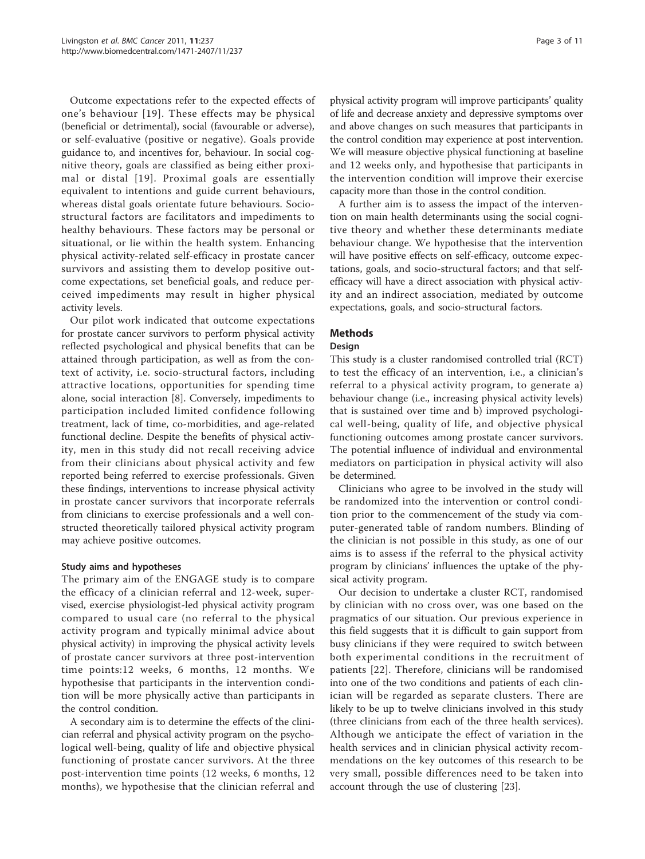Outcome expectations refer to the expected effects of one's behaviour [[19\]](#page-10-0). These effects may be physical (beneficial or detrimental), social (favourable or adverse), or self-evaluative (positive or negative). Goals provide guidance to, and incentives for, behaviour. In social cognitive theory, goals are classified as being either proximal or distal [[19\]](#page-10-0). Proximal goals are essentially equivalent to intentions and guide current behaviours, whereas distal goals orientate future behaviours. Sociostructural factors are facilitators and impediments to healthy behaviours. These factors may be personal or situational, or lie within the health system. Enhancing physical activity-related self-efficacy in prostate cancer survivors and assisting them to develop positive outcome expectations, set beneficial goals, and reduce perceived impediments may result in higher physical activity levels.

Our pilot work indicated that outcome expectations for prostate cancer survivors to perform physical activity reflected psychological and physical benefits that can be attained through participation, as well as from the context of activity, i.e. socio-structural factors, including attractive locations, opportunities for spending time alone, social interaction [\[8](#page-10-0)]. Conversely, impediments to participation included limited confidence following treatment, lack of time, co-morbidities, and age-related functional decline. Despite the benefits of physical activity, men in this study did not recall receiving advice from their clinicians about physical activity and few reported being referred to exercise professionals. Given these findings, interventions to increase physical activity in prostate cancer survivors that incorporate referrals from clinicians to exercise professionals and a well constructed theoretically tailored physical activity program may achieve positive outcomes.

## Study aims and hypotheses

The primary aim of the ENGAGE study is to compare the efficacy of a clinician referral and 12-week, supervised, exercise physiologist-led physical activity program compared to usual care (no referral to the physical activity program and typically minimal advice about physical activity) in improving the physical activity levels of prostate cancer survivors at three post-intervention time points:12 weeks, 6 months, 12 months. We hypothesise that participants in the intervention condition will be more physically active than participants in the control condition.

A secondary aim is to determine the effects of the clinician referral and physical activity program on the psychological well-being, quality of life and objective physical functioning of prostate cancer survivors. At the three post-intervention time points (12 weeks, 6 months, 12 months), we hypothesise that the clinician referral and

physical activity program will improve participants' quality of life and decrease anxiety and depressive symptoms over and above changes on such measures that participants in the control condition may experience at post intervention. We will measure objective physical functioning at baseline and 12 weeks only, and hypothesise that participants in the intervention condition will improve their exercise capacity more than those in the control condition.

A further aim is to assess the impact of the intervention on main health determinants using the social cognitive theory and whether these determinants mediate behaviour change. We hypothesise that the intervention will have positive effects on self-efficacy, outcome expectations, goals, and socio-structural factors; and that selfefficacy will have a direct association with physical activity and an indirect association, mediated by outcome expectations, goals, and socio-structural factors.

# Methods

#### Design

This study is a cluster randomised controlled trial (RCT) to test the efficacy of an intervention, i.e., a clinician's referral to a physical activity program, to generate a) behaviour change (i.e., increasing physical activity levels) that is sustained over time and b) improved psychological well-being, quality of life, and objective physical functioning outcomes among prostate cancer survivors. The potential influence of individual and environmental mediators on participation in physical activity will also be determined.

Clinicians who agree to be involved in the study will be randomized into the intervention or control condition prior to the commencement of the study via computer-generated table of random numbers. Blinding of the clinician is not possible in this study, as one of our aims is to assess if the referral to the physical activity program by clinicians' influences the uptake of the physical activity program.

Our decision to undertake a cluster RCT, randomised by clinician with no cross over, was one based on the pragmatics of our situation. Our previous experience in this field suggests that it is difficult to gain support from busy clinicians if they were required to switch between both experimental conditions in the recruitment of patients [\[22\]](#page-10-0). Therefore, clinicians will be randomised into one of the two conditions and patients of each clinician will be regarded as separate clusters. There are likely to be up to twelve clinicians involved in this study (three clinicians from each of the three health services). Although we anticipate the effect of variation in the health services and in clinician physical activity recommendations on the key outcomes of this research to be very small, possible differences need to be taken into account through the use of clustering [[23\]](#page-10-0).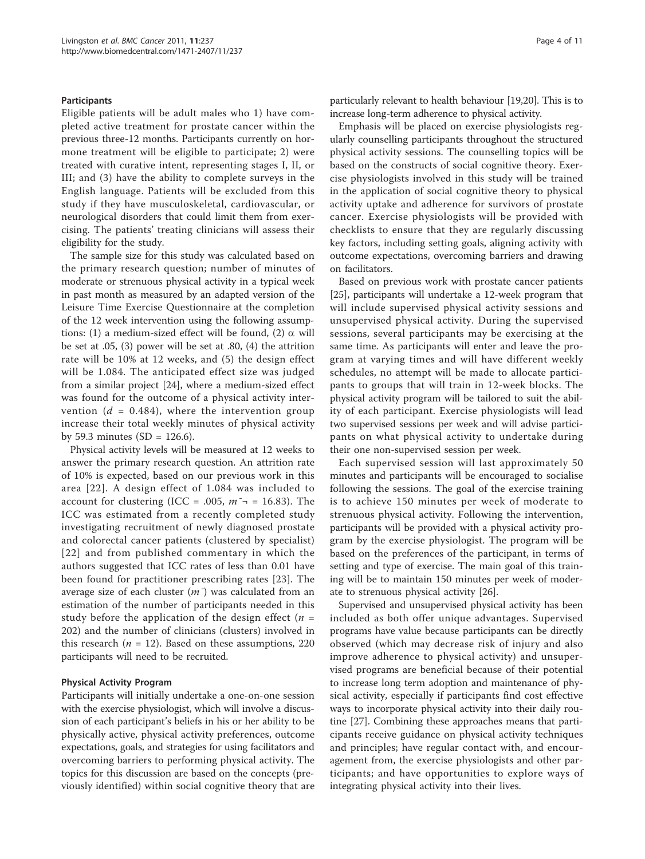#### Participants

Eligible patients will be adult males who 1) have completed active treatment for prostate cancer within the previous three-12 months. Participants currently on hormone treatment will be eligible to participate; 2) were treated with curative intent, representing stages I, II, or III; and (3) have the ability to complete surveys in the English language. Patients will be excluded from this study if they have musculoskeletal, cardiovascular, or neurological disorders that could limit them from exercising. The patients' treating clinicians will assess their eligibility for the study.

The sample size for this study was calculated based on the primary research question; number of minutes of moderate or strenuous physical activity in a typical week in past month as measured by an adapted version of the Leisure Time Exercise Questionnaire at the completion of the 12 week intervention using the following assumptions: (1) a medium-sized effect will be found, (2)  $\alpha$  will be set at .05, (3) power will be set at .80, (4) the attrition rate will be 10% at 12 weeks, and (5) the design effect will be 1.084. The anticipated effect size was judged from a similar project [\[24](#page-10-0)], where a medium-sized effect was found for the outcome of a physical activity intervention ( $d = 0.484$ ), where the intervention group increase their total weekly minutes of physical activity by 59.3 minutes (SD =  $126.6$ ).

Physical activity levels will be measured at 12 weeks to answer the primary research question. An attrition rate of 10% is expected, based on our previous work in this area [[22\]](#page-10-0). A design effect of 1.084 was included to account for clustering (ICC = .005,  $m = 16.83$ ). The ICC was estimated from a recently completed study investigating recruitment of newly diagnosed prostate and colorectal cancer patients (clustered by specialist) [[22](#page-10-0)] and from published commentary in which the authors suggested that ICC rates of less than 0.01 have been found for practitioner prescribing rates [[23\]](#page-10-0). The average size of each cluster  $(m<sup>2</sup>)$  was calculated from an estimation of the number of participants needed in this study before the application of the design effect ( $n =$ 202) and the number of clinicians (clusters) involved in this research ( $n = 12$ ). Based on these assumptions, 220 participants will need to be recruited.

#### Physical Activity Program

Participants will initially undertake a one-on-one session with the exercise physiologist, which will involve a discussion of each participant's beliefs in his or her ability to be physically active, physical activity preferences, outcome expectations, goals, and strategies for using facilitators and overcoming barriers to performing physical activity. The topics for this discussion are based on the concepts (previously identified) within social cognitive theory that are particularly relevant to health behaviour [\[19,20\]](#page-10-0). This is to increase long-term adherence to physical activity.

Emphasis will be placed on exercise physiologists regularly counselling participants throughout the structured physical activity sessions. The counselling topics will be based on the constructs of social cognitive theory. Exercise physiologists involved in this study will be trained in the application of social cognitive theory to physical activity uptake and adherence for survivors of prostate cancer. Exercise physiologists will be provided with checklists to ensure that they are regularly discussing key factors, including setting goals, aligning activity with outcome expectations, overcoming barriers and drawing on facilitators.

Based on previous work with prostate cancer patients [[25\]](#page-10-0), participants will undertake a 12-week program that will include supervised physical activity sessions and unsupervised physical activity. During the supervised sessions, several participants may be exercising at the same time. As participants will enter and leave the program at varying times and will have different weekly schedules, no attempt will be made to allocate participants to groups that will train in 12-week blocks. The physical activity program will be tailored to suit the ability of each participant. Exercise physiologists will lead two supervised sessions per week and will advise participants on what physical activity to undertake during their one non-supervised session per week.

Each supervised session will last approximately 50 minutes and participants will be encouraged to socialise following the sessions. The goal of the exercise training is to achieve 150 minutes per week of moderate to strenuous physical activity. Following the intervention, participants will be provided with a physical activity program by the exercise physiologist. The program will be based on the preferences of the participant, in terms of setting and type of exercise. The main goal of this training will be to maintain 150 minutes per week of moderate to strenuous physical activity [\[26](#page-10-0)].

Supervised and unsupervised physical activity has been included as both offer unique advantages. Supervised programs have value because participants can be directly observed (which may decrease risk of injury and also improve adherence to physical activity) and unsupervised programs are beneficial because of their potential to increase long term adoption and maintenance of physical activity, especially if participants find cost effective ways to incorporate physical activity into their daily routine [[27](#page-10-0)]. Combining these approaches means that participants receive guidance on physical activity techniques and principles; have regular contact with, and encouragement from, the exercise physiologists and other participants; and have opportunities to explore ways of integrating physical activity into their lives.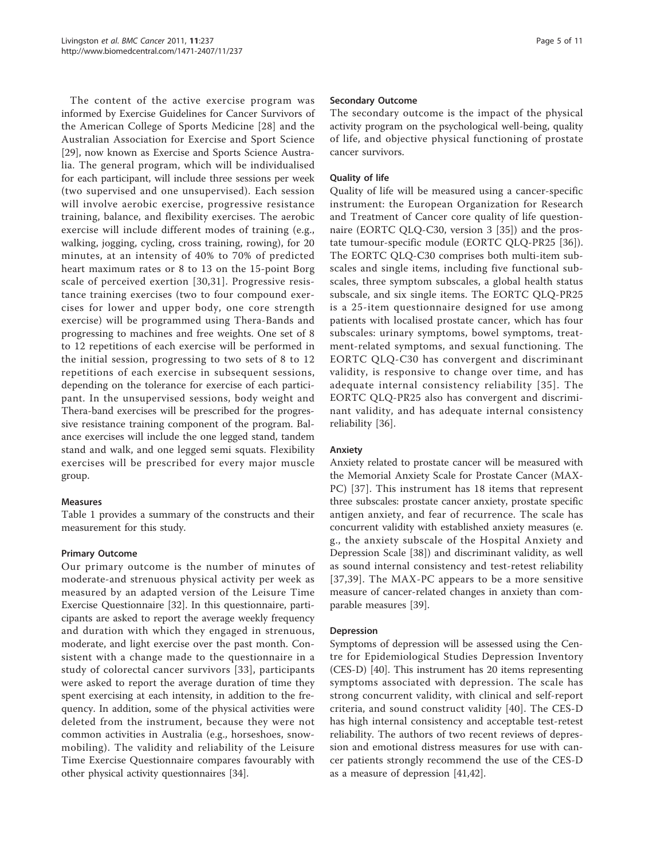The content of the active exercise program was informed by Exercise Guidelines for Cancer Survivors of the American College of Sports Medicine [\[28\]](#page-10-0) and the Australian Association for Exercise and Sport Science [[29\]](#page-10-0), now known as Exercise and Sports Science Australia. The general program, which will be individualised for each participant, will include three sessions per week (two supervised and one unsupervised). Each session will involve aerobic exercise, progressive resistance training, balance, and flexibility exercises. The aerobic exercise will include different modes of training (e.g., walking, jogging, cycling, cross training, rowing), for 20 minutes, at an intensity of 40% to 70% of predicted heart maximum rates or 8 to 13 on the 15-point Borg scale of perceived exertion [[30,31\]](#page-10-0). Progressive resistance training exercises (two to four compound exercises for lower and upper body, one core strength exercise) will be programmed using Thera-Bands and progressing to machines and free weights. One set of 8 to 12 repetitions of each exercise will be performed in the initial session, progressing to two sets of 8 to 12 repetitions of each exercise in subsequent sessions, depending on the tolerance for exercise of each participant. In the unsupervised sessions, body weight and Thera-band exercises will be prescribed for the progressive resistance training component of the program. Balance exercises will include the one legged stand, tandem stand and walk, and one legged semi squats. Flexibility exercises will be prescribed for every major muscle group.

## Measures

Table [1](#page-6-0) provides a summary of the constructs and their measurement for this study.

## Primary Outcome

Our primary outcome is the number of minutes of moderate-and strenuous physical activity per week as measured by an adapted version of the Leisure Time Exercise Questionnaire [\[32\]](#page-10-0). In this questionnaire, participants are asked to report the average weekly frequency and duration with which they engaged in strenuous, moderate, and light exercise over the past month. Consistent with a change made to the questionnaire in a study of colorectal cancer survivors [[33](#page-11-0)], participants were asked to report the average duration of time they spent exercising at each intensity, in addition to the frequency. In addition, some of the physical activities were deleted from the instrument, because they were not common activities in Australia (e.g., horseshoes, snowmobiling). The validity and reliability of the Leisure Time Exercise Questionnaire compares favourably with other physical activity questionnaires [[34](#page-11-0)].

#### Secondary Outcome

The secondary outcome is the impact of the physical activity program on the psychological well-being, quality of life, and objective physical functioning of prostate cancer survivors.

## Quality of life

Quality of life will be measured using a cancer-specific instrument: the European Organization for Research and Treatment of Cancer core quality of life questionnaire (EORTC QLQ-C30, version 3 [\[35](#page-11-0)]) and the prostate tumour-specific module (EORTC QLQ-PR25 [[36\]](#page-11-0)). The EORTC QLQ-C30 comprises both multi-item subscales and single items, including five functional subscales, three symptom subscales, a global health status subscale, and six single items. The EORTC QLQ-PR25 is a 25-item questionnaire designed for use among patients with localised prostate cancer, which has four subscales: urinary symptoms, bowel symptoms, treatment-related symptoms, and sexual functioning. The EORTC QLQ-C30 has convergent and discriminant validity, is responsive to change over time, and has adequate internal consistency reliability [[35\]](#page-11-0). The EORTC QLQ-PR25 also has convergent and discriminant validity, and has adequate internal consistency reliability [\[36](#page-11-0)].

## Anxiety

Anxiety related to prostate cancer will be measured with the Memorial Anxiety Scale for Prostate Cancer (MAX-PC) [[37\]](#page-11-0). This instrument has 18 items that represent three subscales: prostate cancer anxiety, prostate specific antigen anxiety, and fear of recurrence. The scale has concurrent validity with established anxiety measures (e. g., the anxiety subscale of the Hospital Anxiety and Depression Scale [[38\]](#page-11-0)) and discriminant validity, as well as sound internal consistency and test-retest reliability [[37,39](#page-11-0)]. The MAX-PC appears to be a more sensitive measure of cancer-related changes in anxiety than comparable measures [[39](#page-11-0)].

## Depression

Symptoms of depression will be assessed using the Centre for Epidemiological Studies Depression Inventory (CES-D) [\[40\]](#page-11-0). This instrument has 20 items representing symptoms associated with depression. The scale has strong concurrent validity, with clinical and self-report criteria, and sound construct validity [\[40\]](#page-11-0). The CES-D has high internal consistency and acceptable test-retest reliability. The authors of two recent reviews of depression and emotional distress measures for use with cancer patients strongly recommend the use of the CES-D as a measure of depression [[41,42\]](#page-11-0).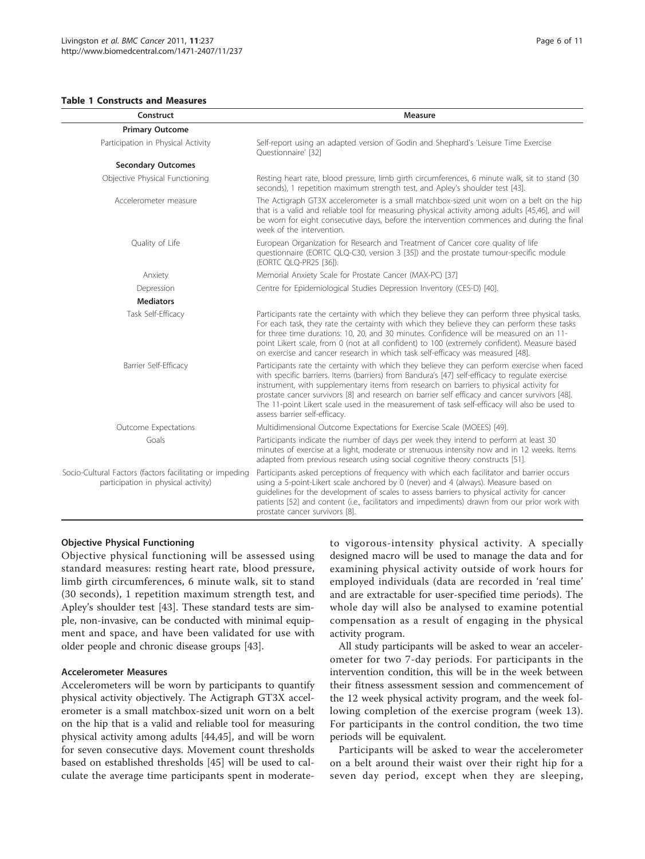Primary Outcome Participation in Physical Activity

Secondary Outcomes Objective Physical Functioning

Accelerometer measure

#### <span id="page-6-0"></span>Table 1 Constructs and Measures

| cts and Measures          |                                                                                                                                                                                                                                                                                                                          |
|---------------------------|--------------------------------------------------------------------------------------------------------------------------------------------------------------------------------------------------------------------------------------------------------------------------------------------------------------------------|
| Construct                 | <b>Measure</b>                                                                                                                                                                                                                                                                                                           |
| imary Outcome             |                                                                                                                                                                                                                                                                                                                          |
| tion in Physical Activity | Self-report using an adapted version of Godin and Shephard's 'Leisure Time Exercise<br>Questionnaire' [32]                                                                                                                                                                                                               |
| ondary Outcomes           |                                                                                                                                                                                                                                                                                                                          |
| e Physical Functioning    | Resting heart rate, blood pressure, limb girth circumferences, 6 minute walk, sit to stand (30)<br>seconds), 1 repetition maximum strength test, and Apley's shoulder test [43].                                                                                                                                         |
| elerometer measure        | The Actigraph GT3X accelerometer is a small matchbox-sized unit worn on a belt on the hip<br>that is a valid and reliable tool for measuring physical activity among adults [45,46], and will<br>be worn for eight consecutive days, before the intervention commences and during the final<br>week of the intervention. |
| Quality of Life           | European Organization for Research and Treatment of Cancer core quality of life                                                                                                                                                                                                                                          |

|                                                                                                 | questionnaire (EORTC QLQ-C30, version 3 [35]) and the prostate tumour-specific module<br>(EORTC QLQ-PR25 [36]).                                                                                                                                                                                                                                                                                                                                                                                                               |
|-------------------------------------------------------------------------------------------------|-------------------------------------------------------------------------------------------------------------------------------------------------------------------------------------------------------------------------------------------------------------------------------------------------------------------------------------------------------------------------------------------------------------------------------------------------------------------------------------------------------------------------------|
| Anxiety                                                                                         | Memorial Anxiety Scale for Prostate Cancer (MAX-PC) [37]                                                                                                                                                                                                                                                                                                                                                                                                                                                                      |
| Depression                                                                                      | Centre for Epidemiological Studies Depression Inventory (CES-D) [40].                                                                                                                                                                                                                                                                                                                                                                                                                                                         |
| <b>Mediators</b>                                                                                |                                                                                                                                                                                                                                                                                                                                                                                                                                                                                                                               |
| Task Self-Efficacy                                                                              | Participants rate the certainty with which they believe they can perform three physical tasks.<br>For each task, they rate the certainty with which they believe they can perform these tasks<br>for three time durations: 10, 20, and 30 minutes. Confidence will be measured on an 11-<br>point Likert scale, from 0 (not at all confident) to 100 (extremely confident). Measure based<br>on exercise and cancer research in which task self-efficacy was measured [48].                                                   |
| Barrier Self-Efficacy                                                                           | Participants rate the certainty with which they believe they can perform exercise when faced<br>with specific barriers. Items (barriers) from Bandura's [47] self-efficacy to regulate exercise<br>instrument, with supplementary items from research on barriers to physical activity for<br>prostate cancer survivors [8] and research on barrier self efficacy and cancer survivors [48].<br>The 11-point Likert scale used in the measurement of task self-efficacy will also be used to<br>assess barrier self-efficacy. |
| Outcome Expectations                                                                            | Multidimensional Outcome Expectations for Exercise Scale (MOEES) [49].                                                                                                                                                                                                                                                                                                                                                                                                                                                        |
| Goals                                                                                           | Participants indicate the number of days per week they intend to perform at least 30<br>minutes of exercise at a light, moderate or strenuous intensity now and in 12 weeks. Items<br>adapted from previous research using social cognitive theory constructs [51].                                                                                                                                                                                                                                                           |
| Socio-Cultural Factors (factors facilitating or impeding<br>participation in physical activity) | Participants asked perceptions of frequency with which each facilitator and barrier occurs<br>using a 5-point-Likert scale anchored by 0 (never) and 4 (always). Measure based on<br>quidelines for the development of scales to assess barriers to physical activity for cancer<br>patients [52] and content (i.e., facilitators and impediments) drawn from our prior work with<br>prostate cancer survivors [8].                                                                                                           |

#### Objective Physical Functioning

Objective physical functioning will be assessed using standard measures: resting heart rate, blood pressure, limb girth circumferences, 6 minute walk, sit to stand (30 seconds), 1 repetition maximum strength test, and Apley's shoulder test [\[43](#page-11-0)]. These standard tests are simple, non-invasive, can be conducted with minimal equipment and space, and have been validated for use with older people and chronic disease groups [[43](#page-11-0)].

#### Accelerometer Measures

Accelerometers will be worn by participants to quantify physical activity objectively. The Actigraph GT3X accelerometer is a small matchbox-sized unit worn on a belt on the hip that is a valid and reliable tool for measuring physical activity among adults [[44,45\]](#page-11-0), and will be worn for seven consecutive days. Movement count thresholds based on established thresholds [\[45](#page-11-0)] will be used to calculate the average time participants spent in moderateto vigorous-intensity physical activity. A specially designed macro will be used to manage the data and for examining physical activity outside of work hours for employed individuals (data are recorded in 'real time' and are extractable for user-specified time periods). The whole day will also be analysed to examine potential compensation as a result of engaging in the physical activity program.

All study participants will be asked to wear an accelerometer for two 7-day periods. For participants in the intervention condition, this will be in the week between their fitness assessment session and commencement of the 12 week physical activity program, and the week following completion of the exercise program (week 13). For participants in the control condition, the two time periods will be equivalent.

Participants will be asked to wear the accelerometer on a belt around their waist over their right hip for a seven day period, except when they are sleeping,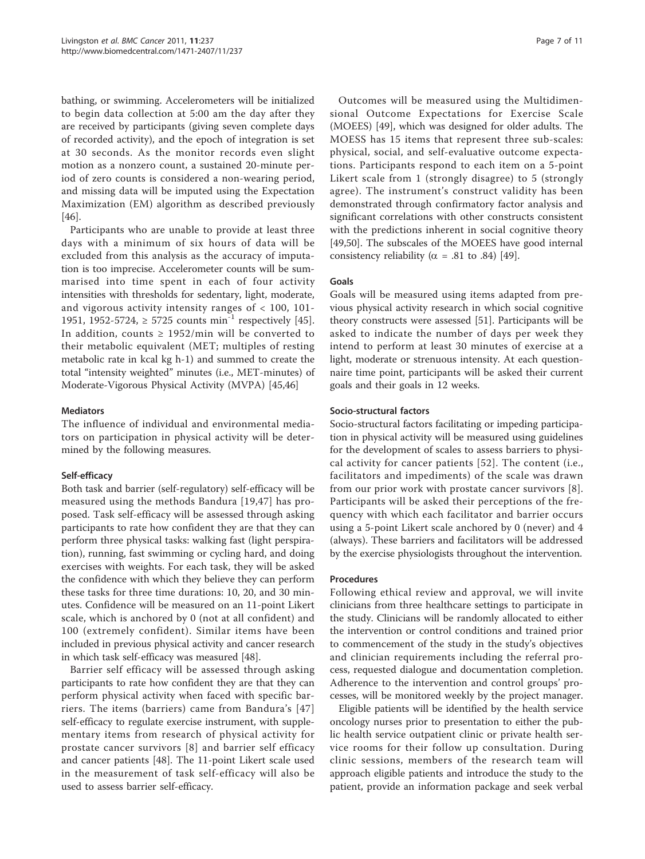bathing, or swimming. Accelerometers will be initialized to begin data collection at 5:00 am the day after they are received by participants (giving seven complete days of recorded activity), and the epoch of integration is set at 30 seconds. As the monitor records even slight motion as a nonzero count, a sustained 20-minute period of zero counts is considered a non-wearing period, and missing data will be imputed using the Expectation Maximization (EM) algorithm as described previously [[46\]](#page-11-0).

Participants who are unable to provide at least three days with a minimum of six hours of data will be excluded from this analysis as the accuracy of imputation is too imprecise. Accelerometer counts will be summarised into time spent in each of four activity intensities with thresholds for sedentary, light, moderate, and vigorous activity intensity ranges of < 100, 101- 1951, 1952-5724, ≥ 5725 counts min<sup>-1</sup> respectively [\[45](#page-11-0)]. In addition, counts  $\geq$  1952/min will be converted to their metabolic equivalent (MET; multiples of resting metabolic rate in kcal kg h-1) and summed to create the total "intensity weighted" minutes (i.e., MET-minutes) of Moderate-Vigorous Physical Activity (MVPA) [\[45,46\]](#page-11-0)

## **Mediators**

The influence of individual and environmental mediators on participation in physical activity will be determined by the following measures.

## Self-efficacy

Both task and barrier (self-regulatory) self-efficacy will be measured using the methods Bandura [[19,](#page-10-0)[47\]](#page-11-0) has proposed. Task self-efficacy will be assessed through asking participants to rate how confident they are that they can perform three physical tasks: walking fast (light perspiration), running, fast swimming or cycling hard, and doing exercises with weights. For each task, they will be asked the confidence with which they believe they can perform these tasks for three time durations: 10, 20, and 30 minutes. Confidence will be measured on an 11-point Likert scale, which is anchored by 0 (not at all confident) and 100 (extremely confident). Similar items have been included in previous physical activity and cancer research in which task self-efficacy was measured [[48\]](#page-11-0).

Barrier self efficacy will be assessed through asking participants to rate how confident they are that they can perform physical activity when faced with specific barriers. The items (barriers) came from Bandura's [[47](#page-11-0)] self-efficacy to regulate exercise instrument, with supplementary items from research of physical activity for prostate cancer survivors [[8\]](#page-10-0) and barrier self efficacy and cancer patients [\[48](#page-11-0)]. The 11-point Likert scale used in the measurement of task self-efficacy will also be used to assess barrier self-efficacy.

Outcomes will be measured using the Multidimensional Outcome Expectations for Exercise Scale (MOEES) [\[49\]](#page-11-0), which was designed for older adults. The MOESS has 15 items that represent three sub-scales: physical, social, and self-evaluative outcome expectations. Participants respond to each item on a 5-point Likert scale from 1 (strongly disagree) to 5 (strongly agree). The instrument's construct validity has been demonstrated through confirmatory factor analysis and significant correlations with other constructs consistent with the predictions inherent in social cognitive theory [[49,50\]](#page-11-0). The subscales of the MOEES have good internal consistency reliability ( $\alpha$  = .81 to .84) [\[49\]](#page-11-0).

#### Goals

Goals will be measured using items adapted from previous physical activity research in which social cognitive theory constructs were assessed [[51](#page-11-0)]. Participants will be asked to indicate the number of days per week they intend to perform at least 30 minutes of exercise at a light, moderate or strenuous intensity. At each questionnaire time point, participants will be asked their current goals and their goals in 12 weeks.

#### Socio-structural factors

Socio-structural factors facilitating or impeding participation in physical activity will be measured using guidelines for the development of scales to assess barriers to physical activity for cancer patients [[52](#page-11-0)]. The content (i.e., facilitators and impediments) of the scale was drawn from our prior work with prostate cancer survivors [[8](#page-10-0)]. Participants will be asked their perceptions of the frequency with which each facilitator and barrier occurs using a 5-point Likert scale anchored by 0 (never) and 4 (always). These barriers and facilitators will be addressed by the exercise physiologists throughout the intervention.

#### Procedures

Following ethical review and approval, we will invite clinicians from three healthcare settings to participate in the study. Clinicians will be randomly allocated to either the intervention or control conditions and trained prior to commencement of the study in the study's objectives and clinician requirements including the referral process, requested dialogue and documentation completion. Adherence to the intervention and control groups' processes, will be monitored weekly by the project manager.

Eligible patients will be identified by the health service oncology nurses prior to presentation to either the public health service outpatient clinic or private health service rooms for their follow up consultation. During clinic sessions, members of the research team will approach eligible patients and introduce the study to the patient, provide an information package and seek verbal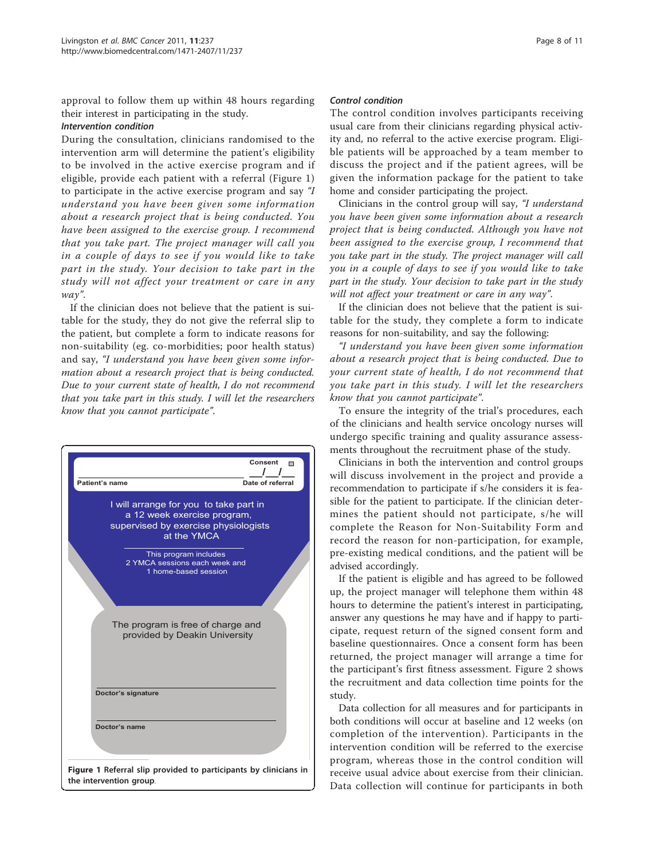approval to follow them up within 48 hours regarding their interest in participating in the study.

# Intervention condition

During the consultation, clinicians randomised to the intervention arm will determine the patient's eligibility to be involved in the active exercise program and if eligible, provide each patient with a referral (Figure 1) to participate in the active exercise program and say "I understand you have been given some information about a research project that is being conducted. You have been assigned to the exercise group. I recommend that you take part. The project manager will call you in a couple of days to see if you would like to take part in the study. Your decision to take part in the study will not affect your treatment or care in any way".

If the clinician does not believe that the patient is suitable for the study, they do not give the referral slip to the patient, but complete a form to indicate reasons for non-suitability (eg. co-morbidities; poor health status) and say, "I understand you have been given some information about a research project that is being conducted. Due to your current state of health, I do not recommend that you take part in this study. I will let the researchers know that you cannot participate".



#### Control condition

The control condition involves participants receiving usual care from their clinicians regarding physical activity and, no referral to the active exercise program. Eligible patients will be approached by a team member to discuss the project and if the patient agrees, will be given the information package for the patient to take home and consider participating the project.

Clinicians in the control group will say, "I understand you have been given some information about a research project that is being conducted. Although you have not been assigned to the exercise group, I recommend that you take part in the study. The project manager will call you in a couple of days to see if you would like to take part in the study. Your decision to take part in the study will not affect your treatment or care in any way".

If the clinician does not believe that the patient is suitable for the study, they complete a form to indicate reasons for non-suitability, and say the following:

"I understand you have been given some information about a research project that is being conducted. Due to your current state of health, I do not recommend that you take part in this study. I will let the researchers know that you cannot participate".

To ensure the integrity of the trial's procedures, each of the clinicians and health service oncology nurses will undergo specific training and quality assurance assessments throughout the recruitment phase of the study.

Clinicians in both the intervention and control groups will discuss involvement in the project and provide a recommendation to participate if s/he considers it is feasible for the patient to participate. If the clinician determines the patient should not participate, s/he will complete the Reason for Non-Suitability Form and record the reason for non-participation, for example, pre-existing medical conditions, and the patient will be advised accordingly.

If the patient is eligible and has agreed to be followed up, the project manager will telephone them within 48 hours to determine the patient's interest in participating, answer any questions he may have and if happy to participate, request return of the signed consent form and baseline questionnaires. Once a consent form has been returned, the project manager will arrange a time for the participant's first fitness assessment. Figure [2](#page-9-0) shows the recruitment and data collection time points for the study.

Data collection for all measures and for participants in both conditions will occur at baseline and 12 weeks (on completion of the intervention). Participants in the intervention condition will be referred to the exercise program, whereas those in the control condition will receive usual advice about exercise from their clinician. Data collection will continue for participants in both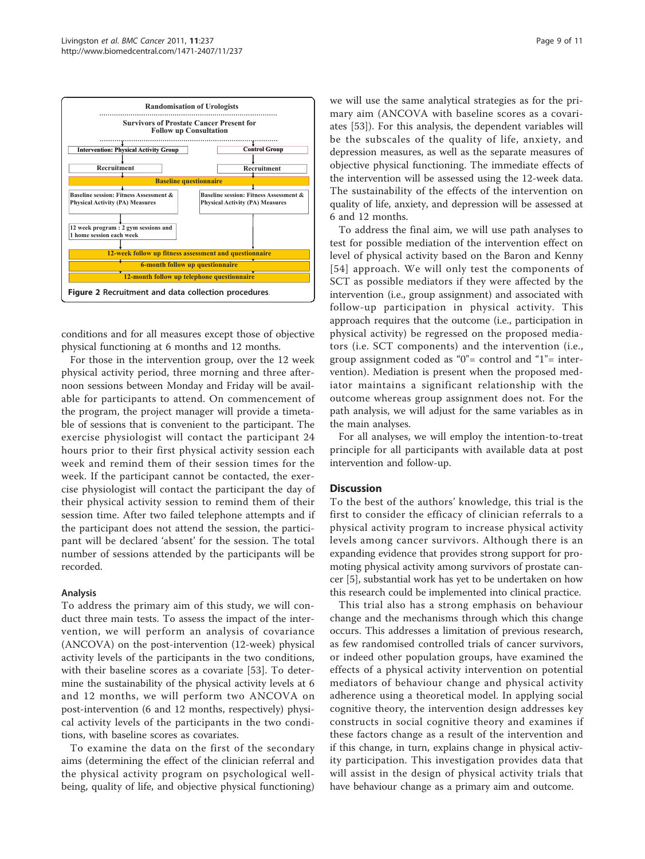<span id="page-9-0"></span>

conditions and for all measures except those of objective physical functioning at 6 months and 12 months.

For those in the intervention group, over the 12 week physical activity period, three morning and three afternoon sessions between Monday and Friday will be available for participants to attend. On commencement of the program, the project manager will provide a timetable of sessions that is convenient to the participant. The exercise physiologist will contact the participant 24 hours prior to their first physical activity session each week and remind them of their session times for the week. If the participant cannot be contacted, the exercise physiologist will contact the participant the day of their physical activity session to remind them of their session time. After two failed telephone attempts and if the participant does not attend the session, the participant will be declared 'absent' for the session. The total number of sessions attended by the participants will be recorded.

#### Analysis

To address the primary aim of this study, we will conduct three main tests. To assess the impact of the intervention, we will perform an analysis of covariance (ANCOVA) on the post-intervention (12-week) physical activity levels of the participants in the two conditions, with their baseline scores as a covariate [\[53](#page-11-0)]. To determine the sustainability of the physical activity levels at 6 and 12 months, we will perform two ANCOVA on post-intervention (6 and 12 months, respectively) physical activity levels of the participants in the two conditions, with baseline scores as covariates.

To examine the data on the first of the secondary aims (determining the effect of the clinician referral and the physical activity program on psychological wellbeing, quality of life, and objective physical functioning) we will use the same analytical strategies as for the primary aim (ANCOVA with baseline scores as a covariates [\[53](#page-11-0)]). For this analysis, the dependent variables will be the subscales of the quality of life, anxiety, and depression measures, as well as the separate measures of objective physical functioning. The immediate effects of the intervention will be assessed using the 12-week data. The sustainability of the effects of the intervention on quality of life, anxiety, and depression will be assessed at 6 and 12 months.

To address the final aim, we will use path analyses to test for possible mediation of the intervention effect on level of physical activity based on the Baron and Kenny [[54\]](#page-11-0) approach. We will only test the components of SCT as possible mediators if they were affected by the intervention (i.e., group assignment) and associated with follow-up participation in physical activity. This approach requires that the outcome (i.e., participation in physical activity) be regressed on the proposed mediators (i.e. SCT components) and the intervention (i.e., group assignment coded as "0"= control and "1"= intervention). Mediation is present when the proposed mediator maintains a significant relationship with the outcome whereas group assignment does not. For the path analysis, we will adjust for the same variables as in the main analyses.

For all analyses, we will employ the intention-to-treat principle for all participants with available data at post intervention and follow-up.

#### **Discussion**

To the best of the authors' knowledge, this trial is the first to consider the efficacy of clinician referrals to a physical activity program to increase physical activity levels among cancer survivors. Although there is an expanding evidence that provides strong support for promoting physical activity among survivors of prostate cancer [\[5\]](#page-10-0), substantial work has yet to be undertaken on how this research could be implemented into clinical practice.

This trial also has a strong emphasis on behaviour change and the mechanisms through which this change occurs. This addresses a limitation of previous research, as few randomised controlled trials of cancer survivors, or indeed other population groups, have examined the effects of a physical activity intervention on potential mediators of behaviour change and physical activity adherence using a theoretical model. In applying social cognitive theory, the intervention design addresses key constructs in social cognitive theory and examines if these factors change as a result of the intervention and if this change, in turn, explains change in physical activity participation. This investigation provides data that will assist in the design of physical activity trials that have behaviour change as a primary aim and outcome.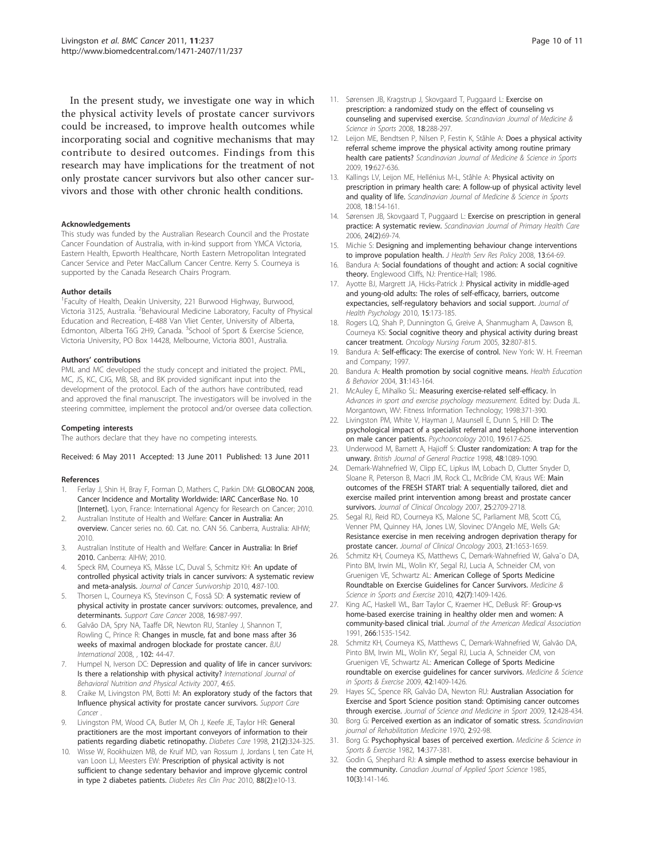<span id="page-10-0"></span>In the present study, we investigate one way in which the physical activity levels of prostate cancer survivors could be increased, to improve health outcomes while incorporating social and cognitive mechanisms that may contribute to desired outcomes. Findings from this research may have implications for the treatment of not only prostate cancer survivors but also other cancer survivors and those with other chronic health conditions.

#### Acknowledgements

This study was funded by the Australian Research Council and the Prostate Cancer Foundation of Australia, with in-kind support from YMCA Victoria, Eastern Health, Epworth Healthcare, North Eastern Metropolitan Integrated Cancer Service and Peter MacCallum Cancer Centre. Kerry S. Courneya is supported by the Canada Research Chairs Program.

#### Author details

<sup>1</sup> Faculty of Health, Deakin University, 221 Burwood Highway, Burwood, Victoria 3125, Australia. <sup>2</sup>Behavioural Medicine Laboratory, Faculty of Physical Education and Recreation, E-488 Van Vliet Center, University of Alberta, Edmonton, Alberta T6G 2H9, Canada. <sup>3</sup>School of Sport & Exercise Science, Victoria University, PO Box 14428, Melbourne, Victoria 8001, Australia.

#### Authors' contributions

PML and MC developed the study concept and initiated the project. PML, MC, JS, KC, CJG, MB, SB, and BK provided significant input into the development of the protocol. Each of the authors have contributed, read and approved the final manuscript. The investigators will be involved in the steering committee, implement the protocol and/or oversee data collection.

#### Competing interests

The authors declare that they have no competing interests.

#### Received: 6 May 2011 Accepted: 13 June 2011 Published: 13 June 2011

#### References

- Ferlay J, Shin H, Bray F, Forman D, Mathers C, Parkin DM: GLOBOCAN 2008, Cancer Incidence and Mortality Worldwide: IARC CancerBase No. 10 [Internet]. Lyon, France: International Agency for Research on Cancer; 2010.
- 2. Australian Institute of Health and Welfare: Cancer in Australia: An overview. Cancer series no. 60. Cat. no. CAN 56. Canberra, Australia: AIHW; 2010.
- 3. Australian Institute of Health and Welfare: Cancer in Australia: In Brief 2010. Canberra: AIHW; 2010.
- Speck RM, Courneya KS, Mâsse LC, Duval S, Schmitz KH: [An update of](http://www.ncbi.nlm.nih.gov/pubmed/20052559?dopt=Abstract) [controlled physical activity trials in cancer survivors: A systematic review](http://www.ncbi.nlm.nih.gov/pubmed/20052559?dopt=Abstract) [and meta-analysis.](http://www.ncbi.nlm.nih.gov/pubmed/20052559?dopt=Abstract) Journal of Cancer Survivorship 2010, 4:87-100.
- 5. Thorsen L, Courneya KS, Stevinson C, Fosså SD: [A systematic review of](http://www.ncbi.nlm.nih.gov/pubmed/18274783?dopt=Abstract) [physical activity in prostate cancer survivors: outcomes, prevalence, and](http://www.ncbi.nlm.nih.gov/pubmed/18274783?dopt=Abstract) [determinants.](http://www.ncbi.nlm.nih.gov/pubmed/18274783?dopt=Abstract) Support Care Cancer 2008, 16:987-997.
- 6. Galvão DA, Spry NA, Taaffe DR, Newton RU, Stanley J, Shannon T, Rowling C, Prince R: Changes in muscle, fat and bone mass after 36 weeks of maximal androgen blockade for prostate cancer. BJU International 2008, , 102: 44-47.
- 7. Humpel N, Iverson DC: [Depression and quality of life in cancer survivors:](http://www.ncbi.nlm.nih.gov/pubmed/18081938?dopt=Abstract) [Is there a relationship with physical activity?](http://www.ncbi.nlm.nih.gov/pubmed/18081938?dopt=Abstract) International Journal of Behavioral Nutrition and Physical Activity 2007, 4:65.
- Craike M, Livingston PM, Botti M: An exploratory study of the factors that Influence physical activity for prostate cancer survivors. Support Care Cancer .
- 9. Livingston PM, Wood CA, Butler M, Oh J, Keefe JE, Taylor HR: [General](http://www.ncbi.nlm.nih.gov/pubmed/9540007?dopt=Abstract) [practitioners are the most important conveyors of information to their](http://www.ncbi.nlm.nih.gov/pubmed/9540007?dopt=Abstract) [patients regarding diabetic retinopathy.](http://www.ncbi.nlm.nih.gov/pubmed/9540007?dopt=Abstract) Diabetes Care 1998, 21(2):324-325.
- 10. Wisse W, Rookhuizen MB, de Kruif MD, van Rossum J, Jordans I, ten Cate H, van Loon LJ, Meesters EW: Prescription of physical activity is not sufficient to change sedentary behavior and improve glycemic control in type 2 diabetes patients. Diabetes Res Clin Prac 2010, 88(2):e10-13.
- 11. Sørensen JB, Kragstrup J, Skovgaard T, Puggaard L: [Exercise on](http://www.ncbi.nlm.nih.gov/pubmed/20210910?dopt=Abstract) [prescription: a randomized study on the effect of counseling vs](http://www.ncbi.nlm.nih.gov/pubmed/20210910?dopt=Abstract) [counseling and supervised exercise.](http://www.ncbi.nlm.nih.gov/pubmed/20210910?dopt=Abstract) Scandinavian Journal of Medicine & Science in Sports 2008, 18:288-297.
- 12. Leijon ME, Bendtsen P, Nilsen P, Festin K, Ståhle A: [Does a physical activity](http://www.ncbi.nlm.nih.gov/pubmed/20210910?dopt=Abstract) [referral scheme improve the physical activity among routine primary](http://www.ncbi.nlm.nih.gov/pubmed/20210910?dopt=Abstract) [health care patients?](http://www.ncbi.nlm.nih.gov/pubmed/20210910?dopt=Abstract) Scandinavian Journal of Medicine & Science in Sports 2009, 19:627-636.
- 13. Kallings LV, Leijon ME, Hellénius M-L, Ståhle A: [Physical activity on](http://www.ncbi.nlm.nih.gov/pubmed/20210910?dopt=Abstract) [prescription in primary health care: A follow-up of physical activity level](http://www.ncbi.nlm.nih.gov/pubmed/20210910?dopt=Abstract) [and quality of life.](http://www.ncbi.nlm.nih.gov/pubmed/20210910?dopt=Abstract) Scandinavian Journal of Medicine & Science in Sports 2008, 18:154-161.
- 14. Sørensen JB, Skovgaard T, Puggaard L: [Exercise on prescription in general](http://www.ncbi.nlm.nih.gov/pubmed/16690553?dopt=Abstract) [practice: A systematic review.](http://www.ncbi.nlm.nih.gov/pubmed/16690553?dopt=Abstract) Scandinavian Journal of Primary Health Care 2006, 24(2):69-74.
- 15. Michie S: [Designing and implementing behaviour change interventions](http://www.ncbi.nlm.nih.gov/pubmed/18806194?dopt=Abstract) [to improve population health.](http://www.ncbi.nlm.nih.gov/pubmed/18806194?dopt=Abstract) J Health Serv Res Policy 2008, 13:64-69.
- 16. Bandura A: Social foundations of thought and action: A social cognitive theory. Englewood Cliffs, NJ: Prentice-Hall; 1986.
- 17. Ayotte BJ, Margrett JA, Hicks-Patrick J: [Physical activity in middle-aged](http://www.ncbi.nlm.nih.gov/pubmed/20207661?dopt=Abstract) [and young-old adults: The roles of self-efficacy, barriers, outcome](http://www.ncbi.nlm.nih.gov/pubmed/20207661?dopt=Abstract) [expectancies, self-regulatory behaviors and social support.](http://www.ncbi.nlm.nih.gov/pubmed/20207661?dopt=Abstract) Journal of Health Psychology 2010, 15:173-185.
- 18. Rogers LQ, Shah P, Dunnington G, Greive A, Shanmugham A, Dawson B, Courneya KS: [Social cognitive theory and physical activity during breast](http://www.ncbi.nlm.nih.gov/pubmed/15990910?dopt=Abstract) [cancer treatment.](http://www.ncbi.nlm.nih.gov/pubmed/15990910?dopt=Abstract) Oncology Nursing Forum 2005, 32:807-815.
- 19. Bandura A: Self-efficacy: The exercise of control. New York: W. H. Freeman and Company; 1997.
- 20. Bandura A: [Health promotion by social cognitive means.](http://www.ncbi.nlm.nih.gov/pubmed/21674575?dopt=Abstract) Health Education & Behavior 2004, 31:143-164.
- 21. McAuley E, Mihalko SL: Measuring exercise-related self-efficacy. In Advances in sport and exercise psychology measurement. Edited by: Duda JL. Morgantown, WV: Fitness Information Technology; 1998:371-390.
- 22. Livingston PM, White V, Hayman J, Maunsell E, Dunn S, Hill D: [The](http://www.ncbi.nlm.nih.gov/pubmed/19673008?dopt=Abstract) [psychological impact of a specialist referral and telephone intervention](http://www.ncbi.nlm.nih.gov/pubmed/19673008?dopt=Abstract) [on male cancer patients.](http://www.ncbi.nlm.nih.gov/pubmed/19673008?dopt=Abstract) Psychooncology 2010, 19:617-625.
- 23. Underwood M, Barnett A, Hajioff S: [Cluster randomization: A trap for the](http://www.ncbi.nlm.nih.gov/pubmed/9624757?dopt=Abstract) [unwary.](http://www.ncbi.nlm.nih.gov/pubmed/9624757?dopt=Abstract) British Journal of General Practice 1998, 48:1089-1090.
- 24. Demark-Wahnefried W, Clipp EC, Lipkus IM, Lobach D, Clutter Snyder D, Sloane R, Peterson B, Macri JM, Rock CL, McBride CM, Kraus WE: [Main](http://www.ncbi.nlm.nih.gov/pubmed/17602076?dopt=Abstract) [outcomes of the FRESH START trial: A sequentially tailored, diet and](http://www.ncbi.nlm.nih.gov/pubmed/17602076?dopt=Abstract) [exercise mailed print intervention among breast and prostate cancer](http://www.ncbi.nlm.nih.gov/pubmed/17602076?dopt=Abstract) [survivors.](http://www.ncbi.nlm.nih.gov/pubmed/17602076?dopt=Abstract) Journal of Clinical Oncology 2007, 25:2709-2718.
- 25. Segal RJ, Reid RD, Courneya KS, Malone SC, Parliament MB, Scott CG, Venner PM, Quinney HA, Jones LW, Slovinec D'Angelo ME, Wells GA: [Resistance exercise in men receiving androgen deprivation therapy for](http://www.ncbi.nlm.nih.gov/pubmed/12721238?dopt=Abstract) [prostate cancer.](http://www.ncbi.nlm.nih.gov/pubmed/12721238?dopt=Abstract) Journal of Clinical Oncology 2003, 21:1653-1659.
- 26. Schmitz KH, Courneya KS, Matthews C, Demark-Wahnefried W, Galva˜o DA, Pinto BM, Irwin ML, Wolin KY, Segal RJ, Lucia A, Schneider CM, von Gruenigen VE, Schwartz AL: [American College of Sports Medicine](http://www.ncbi.nlm.nih.gov/pubmed/21674878?dopt=Abstract) [Roundtable on Exercise Guidelines for Cancer Survivors.](http://www.ncbi.nlm.nih.gov/pubmed/21674878?dopt=Abstract) Medicine & Science in Sports and Exercise 2010, 42(7):1409-1426.
- 27. King AC, Haskell WL, Barr Taylor C, Kraemer HC, DeBusk RF: [Group-vs](http://www.ncbi.nlm.nih.gov/pubmed/1880885?dopt=Abstract) [home-based exercise training in healthy older men and women: A](http://www.ncbi.nlm.nih.gov/pubmed/1880885?dopt=Abstract) [community-based clinical trial.](http://www.ncbi.nlm.nih.gov/pubmed/1880885?dopt=Abstract) Journal of the American Medical Association 1991, 266:1535-1542.
- 28. Schmitz KH, Courneya KS, Matthews C, Demark-Wahnefried W, Galvão DA, Pinto BM, Irwin ML, Wolin KY, Segal RJ, Lucia A, Schneider CM, von Gruenigen VE, Schwartz AL: [American College of Sports Medicine](http://www.ncbi.nlm.nih.gov/pubmed/21674878?dopt=Abstract) [roundtable on exercise guidelines for cancer survivors.](http://www.ncbi.nlm.nih.gov/pubmed/21674878?dopt=Abstract) Medicine & Science in Sports & Exercise 2009, 42:1409-1426.
- 29. Hayes SC, Spence RR, Galvão DA, Newton RU: [Australian Association for](http://www.ncbi.nlm.nih.gov/pubmed/19428291?dopt=Abstract) [Exercise and Sport Science position stand: Optimising cancer outcomes](http://www.ncbi.nlm.nih.gov/pubmed/19428291?dopt=Abstract) [through exercise.](http://www.ncbi.nlm.nih.gov/pubmed/19428291?dopt=Abstract) Journal of Science and Medicine in Sport 2009, 12:428-434.
- 30. Borg G: [Perceived exertion as an indicator of somatic stress.](http://www.ncbi.nlm.nih.gov/pubmed/5523831?dopt=Abstract) Scandinavian journal of Rehabilitation Medicine 1970, 2:92-98.
- 31. Borg G: [Psychophysical bases of perceived exertion.](http://www.ncbi.nlm.nih.gov/pubmed/21674878?dopt=Abstract) Medicine & Science in Sports & Exercise 1982, 14:377-381.
- 32. Godin G, Shephard RJ: [A simple method to assess exercise behaviour in](http://www.ncbi.nlm.nih.gov/pubmed/4053261?dopt=Abstract) [the community.](http://www.ncbi.nlm.nih.gov/pubmed/4053261?dopt=Abstract) Canadian Journal of Applied Sport Science 1985, 10(3):141-146.